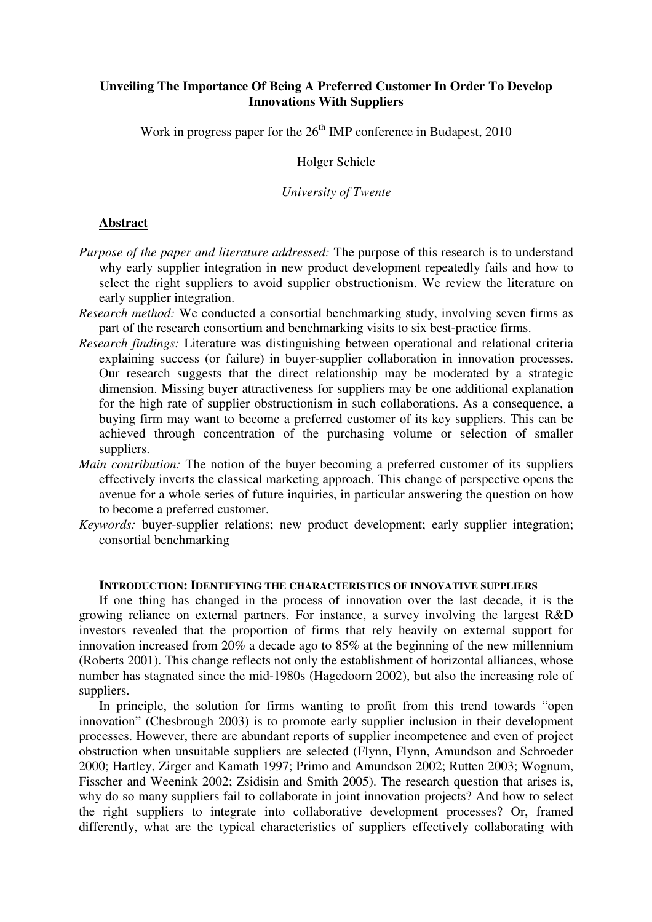## **Unveiling The Importance Of Being A Preferred Customer In Order To Develop Innovations With Suppliers**

Work in progress paper for the  $26<sup>th</sup>$  IMP conference in Budapest, 2010

Holger Schiele

*University of Twente* 

### **Abstract**

- *Purpose of the paper and literature addressed:* The purpose of this research is to understand why early supplier integration in new product development repeatedly fails and how to select the right suppliers to avoid supplier obstructionism. We review the literature on early supplier integration.
- *Research method:* We conducted a consortial benchmarking study, involving seven firms as part of the research consortium and benchmarking visits to six best-practice firms.
- *Research findings:* Literature was distinguishing between operational and relational criteria explaining success (or failure) in buyer-supplier collaboration in innovation processes. Our research suggests that the direct relationship may be moderated by a strategic dimension. Missing buyer attractiveness for suppliers may be one additional explanation for the high rate of supplier obstructionism in such collaborations. As a consequence, a buying firm may want to become a preferred customer of its key suppliers. This can be achieved through concentration of the purchasing volume or selection of smaller suppliers.
- *Main contribution:* The notion of the buyer becoming a preferred customer of its suppliers effectively inverts the classical marketing approach. This change of perspective opens the avenue for a whole series of future inquiries, in particular answering the question on how to become a preferred customer.
- *Keywords:* buyer-supplier relations; new product development; early supplier integration; consortial benchmarking

# **INTRODUCTION: IDENTIFYING THE CHARACTERISTICS OF INNOVATIVE SUPPLIERS**

If one thing has changed in the process of innovation over the last decade, it is the growing reliance on external partners. For instance, a survey involving the largest R&D investors revealed that the proportion of firms that rely heavily on external support for innovation increased from 20% a decade ago to 85% at the beginning of the new millennium (Roberts 2001). This change reflects not only the establishment of horizontal alliances, whose number has stagnated since the mid-1980s (Hagedoorn 2002), but also the increasing role of suppliers.

In principle, the solution for firms wanting to profit from this trend towards "open innovation" (Chesbrough 2003) is to promote early supplier inclusion in their development processes. However, there are abundant reports of supplier incompetence and even of project obstruction when unsuitable suppliers are selected (Flynn, Flynn, Amundson and Schroeder 2000; Hartley, Zirger and Kamath 1997; Primo and Amundson 2002; Rutten 2003; Wognum, Fisscher and Weenink 2002; Zsidisin and Smith 2005). The research question that arises is, why do so many suppliers fail to collaborate in joint innovation projects? And how to select the right suppliers to integrate into collaborative development processes? Or, framed differently, what are the typical characteristics of suppliers effectively collaborating with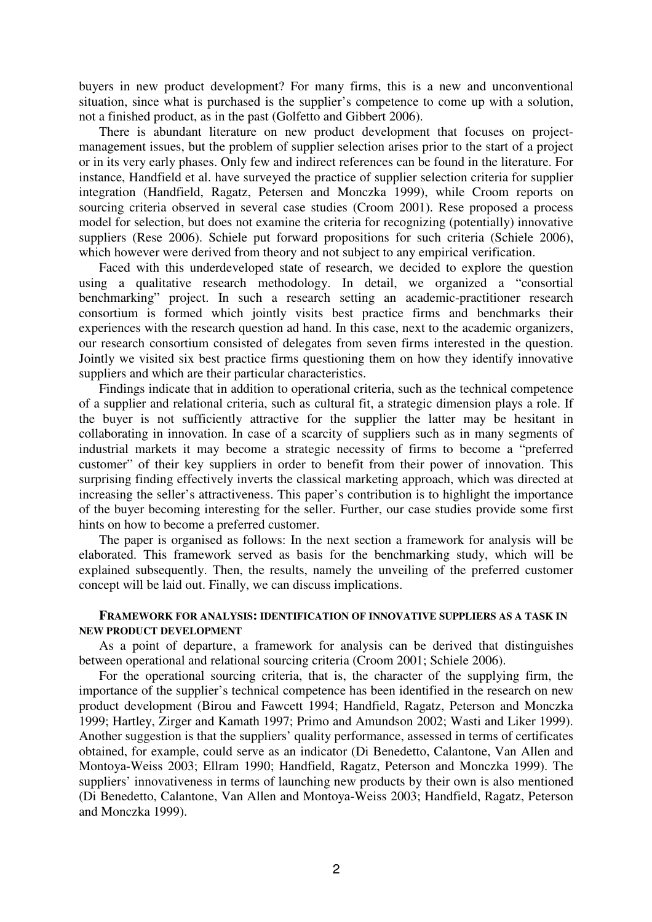buyers in new product development? For many firms, this is a new and unconventional situation, since what is purchased is the supplier's competence to come up with a solution, not a finished product, as in the past (Golfetto and Gibbert 2006).

There is abundant literature on new product development that focuses on projectmanagement issues, but the problem of supplier selection arises prior to the start of a project or in its very early phases. Only few and indirect references can be found in the literature. For instance, Handfield et al. have surveyed the practice of supplier selection criteria for supplier integration (Handfield, Ragatz, Petersen and Monczka 1999), while Croom reports on sourcing criteria observed in several case studies (Croom 2001). Rese proposed a process model for selection, but does not examine the criteria for recognizing (potentially) innovative suppliers (Rese 2006). Schiele put forward propositions for such criteria (Schiele 2006), which however were derived from theory and not subject to any empirical verification.

Faced with this underdeveloped state of research, we decided to explore the question using a qualitative research methodology. In detail, we organized a "consortial benchmarking" project. In such a research setting an academic-practitioner research consortium is formed which jointly visits best practice firms and benchmarks their experiences with the research question ad hand. In this case, next to the academic organizers, our research consortium consisted of delegates from seven firms interested in the question. Jointly we visited six best practice firms questioning them on how they identify innovative suppliers and which are their particular characteristics.

Findings indicate that in addition to operational criteria, such as the technical competence of a supplier and relational criteria, such as cultural fit, a strategic dimension plays a role. If the buyer is not sufficiently attractive for the supplier the latter may be hesitant in collaborating in innovation. In case of a scarcity of suppliers such as in many segments of industrial markets it may become a strategic necessity of firms to become a "preferred customer" of their key suppliers in order to benefit from their power of innovation. This surprising finding effectively inverts the classical marketing approach, which was directed at increasing the seller's attractiveness. This paper's contribution is to highlight the importance of the buyer becoming interesting for the seller. Further, our case studies provide some first hints on how to become a preferred customer.

The paper is organised as follows: In the next section a framework for analysis will be elaborated. This framework served as basis for the benchmarking study, which will be explained subsequently. Then, the results, namely the unveiling of the preferred customer concept will be laid out. Finally, we can discuss implications.

### **FRAMEWORK FOR ANALYSIS: IDENTIFICATION OF INNOVATIVE SUPPLIERS AS A TASK IN NEW PRODUCT DEVELOPMENT**

As a point of departure, a framework for analysis can be derived that distinguishes between operational and relational sourcing criteria (Croom 2001; Schiele 2006).

For the operational sourcing criteria, that is, the character of the supplying firm, the importance of the supplier's technical competence has been identified in the research on new product development (Birou and Fawcett 1994; Handfield, Ragatz, Peterson and Monczka 1999; Hartley, Zirger and Kamath 1997; Primo and Amundson 2002; Wasti and Liker 1999). Another suggestion is that the suppliers' quality performance, assessed in terms of certificates obtained, for example, could serve as an indicator (Di Benedetto, Calantone, Van Allen and Montoya-Weiss 2003; Ellram 1990; Handfield, Ragatz, Peterson and Monczka 1999). The suppliers' innovativeness in terms of launching new products by their own is also mentioned (Di Benedetto, Calantone, Van Allen and Montoya-Weiss 2003; Handfield, Ragatz, Peterson and Monczka 1999).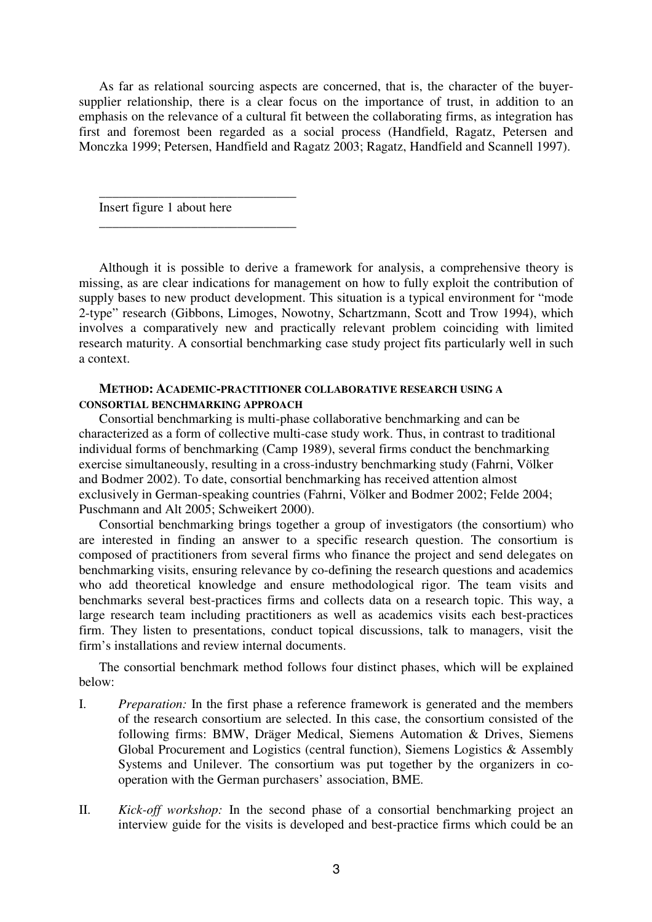As far as relational sourcing aspects are concerned, that is, the character of the buyersupplier relationship, there is a clear focus on the importance of trust, in addition to an emphasis on the relevance of a cultural fit between the collaborating firms, as integration has first and foremost been regarded as a social process (Handfield, Ragatz, Petersen and Monczka 1999; Petersen, Handfield and Ragatz 2003; Ragatz, Handfield and Scannell 1997).

Insert figure 1 about here

\_\_\_\_\_\_\_\_\_\_\_\_\_\_\_\_\_\_\_\_\_\_\_\_\_\_\_\_\_\_

\_\_\_\_\_\_\_\_\_\_\_\_\_\_\_\_\_\_\_\_\_\_\_\_\_\_\_\_\_\_

Although it is possible to derive a framework for analysis, a comprehensive theory is missing, as are clear indications for management on how to fully exploit the contribution of supply bases to new product development. This situation is a typical environment for "mode 2-type" research (Gibbons, Limoges, Nowotny, Schartzmann, Scott and Trow 1994), which involves a comparatively new and practically relevant problem coinciding with limited research maturity. A consortial benchmarking case study project fits particularly well in such a context.

### **METHOD: ACADEMIC-PRACTITIONER COLLABORATIVE RESEARCH USING A CONSORTIAL BENCHMARKING APPROACH**

Consortial benchmarking is multi-phase collaborative benchmarking and can be characterized as a form of collective multi-case study work. Thus, in contrast to traditional individual forms of benchmarking (Camp 1989), several firms conduct the benchmarking exercise simultaneously, resulting in a cross-industry benchmarking study (Fahrni, Völker and Bodmer 2002). To date, consortial benchmarking has received attention almost exclusively in German-speaking countries (Fahrni, Völker and Bodmer 2002; Felde 2004; Puschmann and Alt 2005; Schweikert 2000).

Consortial benchmarking brings together a group of investigators (the consortium) who are interested in finding an answer to a specific research question. The consortium is composed of practitioners from several firms who finance the project and send delegates on benchmarking visits, ensuring relevance by co-defining the research questions and academics who add theoretical knowledge and ensure methodological rigor. The team visits and benchmarks several best-practices firms and collects data on a research topic. This way, a large research team including practitioners as well as academics visits each best-practices firm. They listen to presentations, conduct topical discussions, talk to managers, visit the firm's installations and review internal documents.

The consortial benchmark method follows four distinct phases, which will be explained below:

- I. *Preparation:* In the first phase a reference framework is generated and the members of the research consortium are selected. In this case, the consortium consisted of the following firms: BMW, Dräger Medical, Siemens Automation & Drives, Siemens Global Procurement and Logistics (central function), Siemens Logistics & Assembly Systems and Unilever. The consortium was put together by the organizers in cooperation with the German purchasers' association, BME.
- II. *Kick-off workshop:* In the second phase of a consortial benchmarking project an interview guide for the visits is developed and best-practice firms which could be an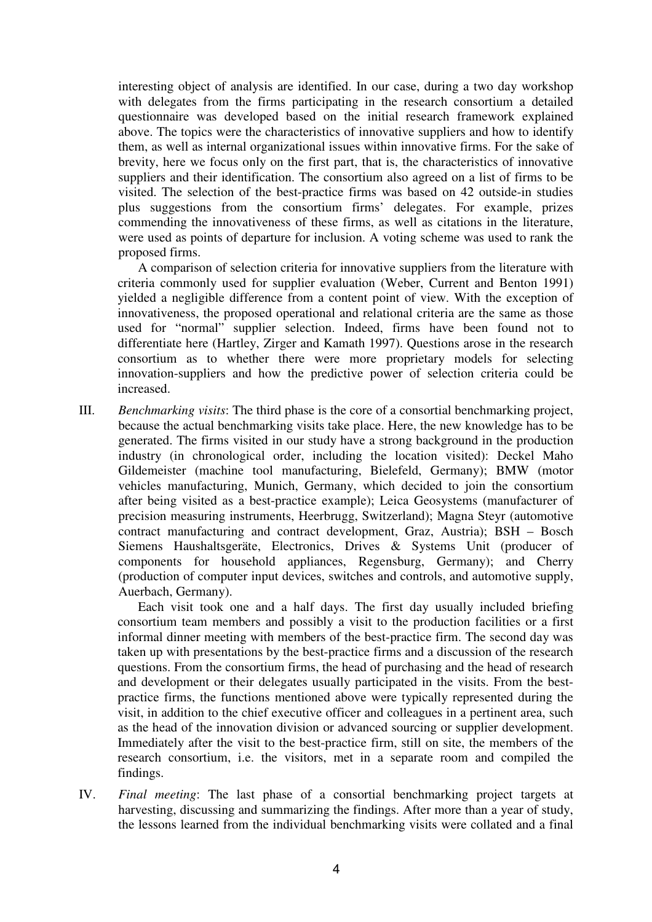interesting object of analysis are identified. In our case, during a two day workshop with delegates from the firms participating in the research consortium a detailed questionnaire was developed based on the initial research framework explained above. The topics were the characteristics of innovative suppliers and how to identify them, as well as internal organizational issues within innovative firms. For the sake of brevity, here we focus only on the first part, that is, the characteristics of innovative suppliers and their identification. The consortium also agreed on a list of firms to be visited. The selection of the best-practice firms was based on 42 outside-in studies plus suggestions from the consortium firms' delegates. For example, prizes commending the innovativeness of these firms, as well as citations in the literature, were used as points of departure for inclusion. A voting scheme was used to rank the proposed firms.

A comparison of selection criteria for innovative suppliers from the literature with criteria commonly used for supplier evaluation (Weber, Current and Benton 1991) yielded a negligible difference from a content point of view. With the exception of innovativeness, the proposed operational and relational criteria are the same as those used for "normal" supplier selection. Indeed, firms have been found not to differentiate here (Hartley, Zirger and Kamath 1997). Questions arose in the research consortium as to whether there were more proprietary models for selecting innovation-suppliers and how the predictive power of selection criteria could be increased.

III. *Benchmarking visits*: The third phase is the core of a consortial benchmarking project, because the actual benchmarking visits take place. Here, the new knowledge has to be generated. The firms visited in our study have a strong background in the production industry (in chronological order, including the location visited): Deckel Maho Gildemeister (machine tool manufacturing, Bielefeld, Germany); BMW (motor vehicles manufacturing, Munich, Germany, which decided to join the consortium after being visited as a best-practice example); Leica Geosystems (manufacturer of precision measuring instruments, Heerbrugg, Switzerland); Magna Steyr (automotive contract manufacturing and contract development, Graz, Austria); BSH – Bosch Siemens Haushaltsgeräte, Electronics, Drives & Systems Unit (producer of components for household appliances, Regensburg, Germany); and Cherry (production of computer input devices, switches and controls, and automotive supply, Auerbach, Germany).

Each visit took one and a half days. The first day usually included briefing consortium team members and possibly a visit to the production facilities or a first informal dinner meeting with members of the best-practice firm. The second day was taken up with presentations by the best-practice firms and a discussion of the research questions. From the consortium firms, the head of purchasing and the head of research and development or their delegates usually participated in the visits. From the bestpractice firms, the functions mentioned above were typically represented during the visit, in addition to the chief executive officer and colleagues in a pertinent area, such as the head of the innovation division or advanced sourcing or supplier development. Immediately after the visit to the best-practice firm, still on site, the members of the research consortium, i.e. the visitors, met in a separate room and compiled the findings.

IV. *Final meeting*: The last phase of a consortial benchmarking project targets at harvesting, discussing and summarizing the findings. After more than a year of study, the lessons learned from the individual benchmarking visits were collated and a final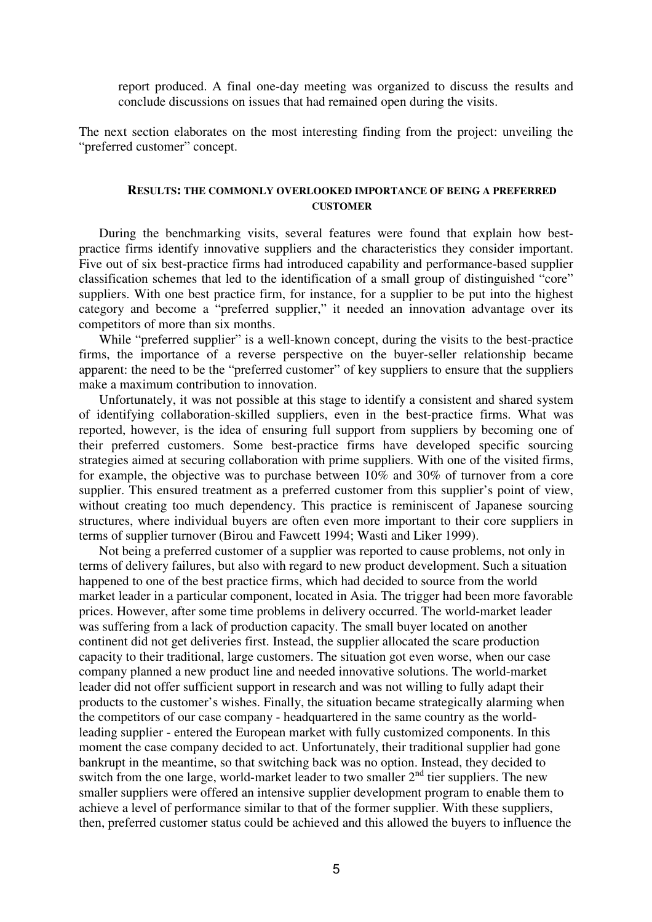report produced. A final one-day meeting was organized to discuss the results and conclude discussions on issues that had remained open during the visits.

The next section elaborates on the most interesting finding from the project: unveiling the "preferred customer" concept.

#### **RESULTS: THE COMMONLY OVERLOOKED IMPORTANCE OF BEING A PREFERRED CUSTOMER**

During the benchmarking visits, several features were found that explain how bestpractice firms identify innovative suppliers and the characteristics they consider important. Five out of six best-practice firms had introduced capability and performance-based supplier classification schemes that led to the identification of a small group of distinguished "core" suppliers. With one best practice firm, for instance, for a supplier to be put into the highest category and become a "preferred supplier," it needed an innovation advantage over its competitors of more than six months.

While "preferred supplier" is a well-known concept, during the visits to the best-practice firms, the importance of a reverse perspective on the buyer-seller relationship became apparent: the need to be the "preferred customer" of key suppliers to ensure that the suppliers make a maximum contribution to innovation.

Unfortunately, it was not possible at this stage to identify a consistent and shared system of identifying collaboration-skilled suppliers, even in the best-practice firms. What was reported, however, is the idea of ensuring full support from suppliers by becoming one of their preferred customers. Some best-practice firms have developed specific sourcing strategies aimed at securing collaboration with prime suppliers. With one of the visited firms, for example, the objective was to purchase between 10% and 30% of turnover from a core supplier. This ensured treatment as a preferred customer from this supplier's point of view, without creating too much dependency. This practice is reminiscent of Japanese sourcing structures, where individual buyers are often even more important to their core suppliers in terms of supplier turnover (Birou and Fawcett 1994; Wasti and Liker 1999).

Not being a preferred customer of a supplier was reported to cause problems, not only in terms of delivery failures, but also with regard to new product development. Such a situation happened to one of the best practice firms, which had decided to source from the world market leader in a particular component, located in Asia. The trigger had been more favorable prices. However, after some time problems in delivery occurred. The world-market leader was suffering from a lack of production capacity. The small buyer located on another continent did not get deliveries first. Instead, the supplier allocated the scare production capacity to their traditional, large customers. The situation got even worse, when our case company planned a new product line and needed innovative solutions. The world-market leader did not offer sufficient support in research and was not willing to fully adapt their products to the customer's wishes. Finally, the situation became strategically alarming when the competitors of our case company - headquartered in the same country as the worldleading supplier - entered the European market with fully customized components. In this moment the case company decided to act. Unfortunately, their traditional supplier had gone bankrupt in the meantime, so that switching back was no option. Instead, they decided to switch from the one large, world-market leader to two smaller  $2<sup>nd</sup>$  tier suppliers. The new smaller suppliers were offered an intensive supplier development program to enable them to achieve a level of performance similar to that of the former supplier. With these suppliers, then, preferred customer status could be achieved and this allowed the buyers to influence the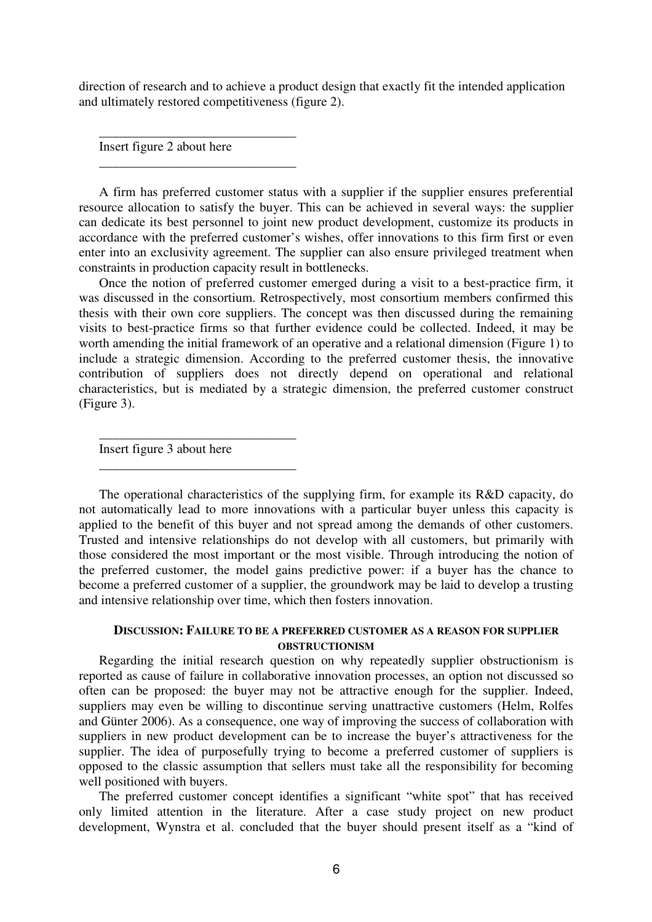direction of research and to achieve a product design that exactly fit the intended application and ultimately restored competitiveness (figure 2).

Insert figure 2 about here

\_\_\_\_\_\_\_\_\_\_\_\_\_\_\_\_\_\_\_\_\_\_\_\_\_\_\_\_\_\_

\_\_\_\_\_\_\_\_\_\_\_\_\_\_\_\_\_\_\_\_\_\_\_\_\_\_\_\_\_\_

A firm has preferred customer status with a supplier if the supplier ensures preferential resource allocation to satisfy the buyer. This can be achieved in several ways: the supplier can dedicate its best personnel to joint new product development, customize its products in accordance with the preferred customer's wishes, offer innovations to this firm first or even enter into an exclusivity agreement. The supplier can also ensure privileged treatment when constraints in production capacity result in bottlenecks.

Once the notion of preferred customer emerged during a visit to a best-practice firm, it was discussed in the consortium. Retrospectively, most consortium members confirmed this thesis with their own core suppliers. The concept was then discussed during the remaining visits to best-practice firms so that further evidence could be collected. Indeed, it may be worth amending the initial framework of an operative and a relational dimension (Figure 1) to include a strategic dimension. According to the preferred customer thesis, the innovative contribution of suppliers does not directly depend on operational and relational characteristics, but is mediated by a strategic dimension, the preferred customer construct (Figure 3).

Insert figure 3 about here

\_\_\_\_\_\_\_\_\_\_\_\_\_\_\_\_\_\_\_\_\_\_\_\_\_\_\_\_\_\_

\_\_\_\_\_\_\_\_\_\_\_\_\_\_\_\_\_\_\_\_\_\_\_\_\_\_\_\_\_\_

The operational characteristics of the supplying firm, for example its R&D capacity, do not automatically lead to more innovations with a particular buyer unless this capacity is applied to the benefit of this buyer and not spread among the demands of other customers. Trusted and intensive relationships do not develop with all customers, but primarily with those considered the most important or the most visible. Through introducing the notion of the preferred customer, the model gains predictive power: if a buyer has the chance to become a preferred customer of a supplier, the groundwork may be laid to develop a trusting and intensive relationship over time, which then fosters innovation.

## **DISCUSSION: FAILURE TO BE A PREFERRED CUSTOMER AS A REASON FOR SUPPLIER OBSTRUCTIONISM**

Regarding the initial research question on why repeatedly supplier obstructionism is reported as cause of failure in collaborative innovation processes, an option not discussed so often can be proposed: the buyer may not be attractive enough for the supplier. Indeed, suppliers may even be willing to discontinue serving unattractive customers (Helm, Rolfes and Günter 2006). As a consequence, one way of improving the success of collaboration with suppliers in new product development can be to increase the buyer's attractiveness for the supplier. The idea of purposefully trying to become a preferred customer of suppliers is opposed to the classic assumption that sellers must take all the responsibility for becoming well positioned with buyers.

The preferred customer concept identifies a significant "white spot" that has received only limited attention in the literature. After a case study project on new product development, Wynstra et al. concluded that the buyer should present itself as a "kind of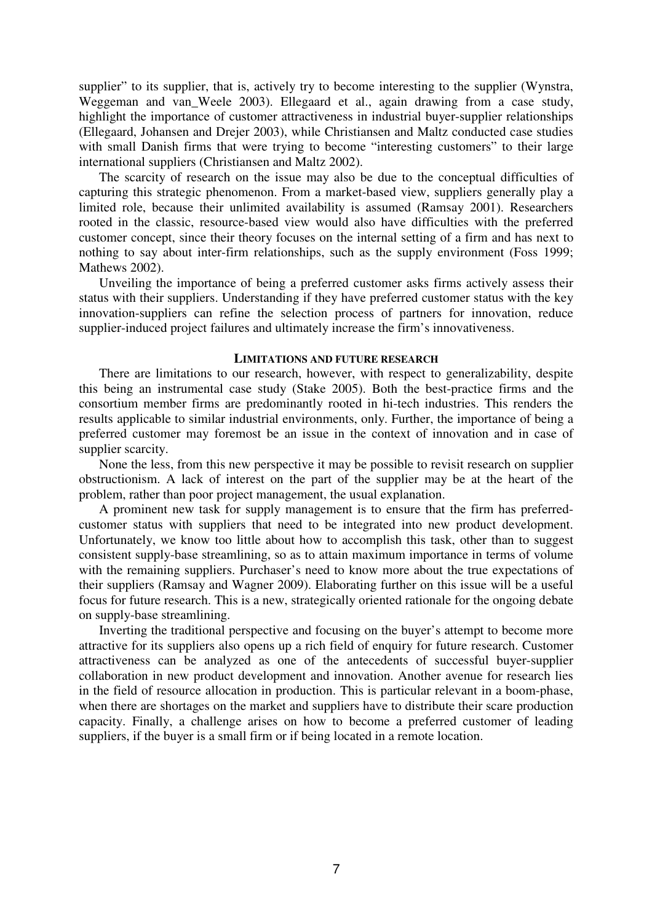supplier" to its supplier, that is, actively try to become interesting to the supplier (Wynstra, Weggeman and van\_Weele 2003). Ellegaard et al., again drawing from a case study, highlight the importance of customer attractiveness in industrial buyer-supplier relationships (Ellegaard, Johansen and Drejer 2003), while Christiansen and Maltz conducted case studies with small Danish firms that were trying to become "interesting customers" to their large international suppliers (Christiansen and Maltz 2002).

The scarcity of research on the issue may also be due to the conceptual difficulties of capturing this strategic phenomenon. From a market-based view, suppliers generally play a limited role, because their unlimited availability is assumed (Ramsay 2001). Researchers rooted in the classic, resource-based view would also have difficulties with the preferred customer concept, since their theory focuses on the internal setting of a firm and has next to nothing to say about inter-firm relationships, such as the supply environment (Foss 1999; Mathews 2002).

Unveiling the importance of being a preferred customer asks firms actively assess their status with their suppliers. Understanding if they have preferred customer status with the key innovation-suppliers can refine the selection process of partners for innovation, reduce supplier-induced project failures and ultimately increase the firm's innovativeness.

#### **LIMITATIONS AND FUTURE RESEARCH**

There are limitations to our research, however, with respect to generalizability, despite this being an instrumental case study (Stake 2005). Both the best-practice firms and the consortium member firms are predominantly rooted in hi-tech industries. This renders the results applicable to similar industrial environments, only. Further, the importance of being a preferred customer may foremost be an issue in the context of innovation and in case of supplier scarcity.

None the less, from this new perspective it may be possible to revisit research on supplier obstructionism. A lack of interest on the part of the supplier may be at the heart of the problem, rather than poor project management, the usual explanation.

A prominent new task for supply management is to ensure that the firm has preferredcustomer status with suppliers that need to be integrated into new product development. Unfortunately, we know too little about how to accomplish this task, other than to suggest consistent supply-base streamlining, so as to attain maximum importance in terms of volume with the remaining suppliers. Purchaser's need to know more about the true expectations of their suppliers (Ramsay and Wagner 2009). Elaborating further on this issue will be a useful focus for future research. This is a new, strategically oriented rationale for the ongoing debate on supply-base streamlining.

Inverting the traditional perspective and focusing on the buyer's attempt to become more attractive for its suppliers also opens up a rich field of enquiry for future research. Customer attractiveness can be analyzed as one of the antecedents of successful buyer-supplier collaboration in new product development and innovation. Another avenue for research lies in the field of resource allocation in production. This is particular relevant in a boom-phase, when there are shortages on the market and suppliers have to distribute their scare production capacity. Finally, a challenge arises on how to become a preferred customer of leading suppliers, if the buyer is a small firm or if being located in a remote location.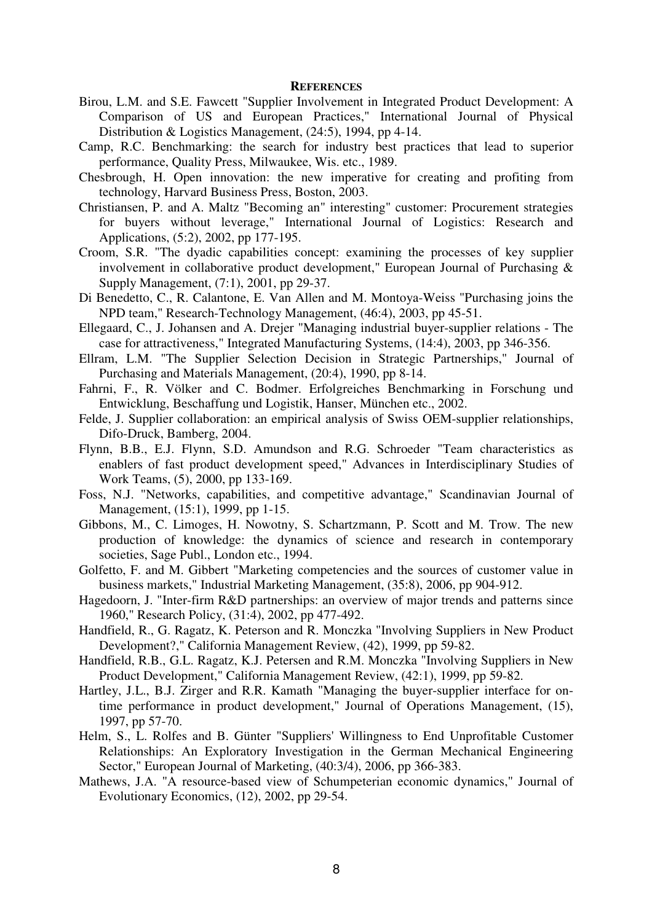#### **REFERENCES**

- Birou, L.M. and S.E. Fawcett "Supplier Involvement in Integrated Product Development: A Comparison of US and European Practices," International Journal of Physical Distribution & Logistics Management, (24:5), 1994, pp 4-14.
- Camp, R.C. Benchmarking: the search for industry best practices that lead to superior performance, Quality Press, Milwaukee, Wis. etc., 1989.
- Chesbrough, H. Open innovation: the new imperative for creating and profiting from technology, Harvard Business Press, Boston, 2003.
- Christiansen, P. and A. Maltz "Becoming an" interesting" customer: Procurement strategies for buyers without leverage," International Journal of Logistics: Research and Applications, (5:2), 2002, pp 177-195.
- Croom, S.R. "The dyadic capabilities concept: examining the processes of key supplier involvement in collaborative product development," European Journal of Purchasing & Supply Management, (7:1), 2001, pp 29-37.
- Di Benedetto, C., R. Calantone, E. Van Allen and M. Montoya-Weiss "Purchasing joins the NPD team," Research-Technology Management, (46:4), 2003, pp 45-51.
- Ellegaard, C., J. Johansen and A. Drejer "Managing industrial buyer-supplier relations The case for attractiveness," Integrated Manufacturing Systems, (14:4), 2003, pp 346-356.
- Ellram, L.M. "The Supplier Selection Decision in Strategic Partnerships," Journal of Purchasing and Materials Management, (20:4), 1990, pp 8-14.
- Fahrni, F., R. Völker and C. Bodmer. Erfolgreiches Benchmarking in Forschung und Entwicklung, Beschaffung und Logistik, Hanser, München etc., 2002.
- Felde, J. Supplier collaboration: an empirical analysis of Swiss OEM-supplier relationships, Difo-Druck, Bamberg, 2004.
- Flynn, B.B., E.J. Flynn, S.D. Amundson and R.G. Schroeder "Team characteristics as enablers of fast product development speed," Advances in Interdisciplinary Studies of Work Teams, (5), 2000, pp 133-169.
- Foss, N.J. "Networks, capabilities, and competitive advantage," Scandinavian Journal of Management, (15:1), 1999, pp 1-15.
- Gibbons, M., C. Limoges, H. Nowotny, S. Schartzmann, P. Scott and M. Trow. The new production of knowledge: the dynamics of science and research in contemporary societies, Sage Publ., London etc., 1994.
- Golfetto, F. and M. Gibbert "Marketing competencies and the sources of customer value in business markets," Industrial Marketing Management, (35:8), 2006, pp 904-912.
- Hagedoorn, J. "Inter-firm R&D partnerships: an overview of major trends and patterns since 1960," Research Policy, (31:4), 2002, pp 477-492.
- Handfield, R., G. Ragatz, K. Peterson and R. Monczka "Involving Suppliers in New Product Development?," California Management Review, (42), 1999, pp 59-82.
- Handfield, R.B., G.L. Ragatz, K.J. Petersen and R.M. Monczka "Involving Suppliers in New Product Development," California Management Review, (42:1), 1999, pp 59-82.
- Hartley, J.L., B.J. Zirger and R.R. Kamath "Managing the buyer-supplier interface for ontime performance in product development," Journal of Operations Management, (15), 1997, pp 57-70.
- Helm, S., L. Rolfes and B. Günter "Suppliers' Willingness to End Unprofitable Customer Relationships: An Exploratory Investigation in the German Mechanical Engineering Sector," European Journal of Marketing, (40:3/4), 2006, pp 366-383.
- Mathews, J.A. "A resource-based view of Schumpeterian economic dynamics," Journal of Evolutionary Economics, (12), 2002, pp 29-54.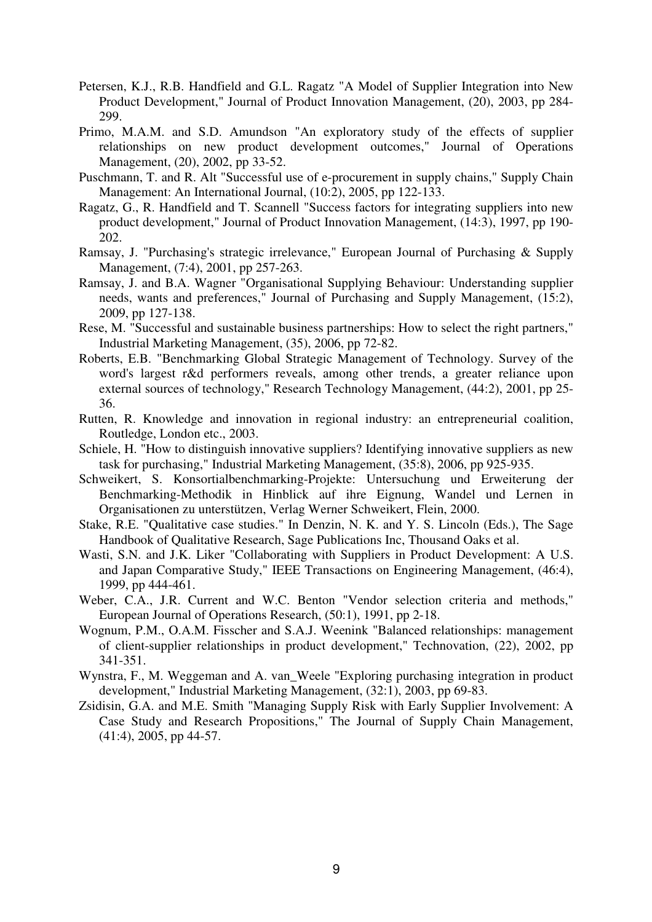- Petersen, K.J., R.B. Handfield and G.L. Ragatz "A Model of Supplier Integration into New Product Development," Journal of Product Innovation Management, (20), 2003, pp 284- 299.
- Primo, M.A.M. and S.D. Amundson "An exploratory study of the effects of supplier relationships on new product development outcomes," Journal of Operations Management, (20), 2002, pp 33-52.
- Puschmann, T. and R. Alt "Successful use of e-procurement in supply chains," Supply Chain Management: An International Journal, (10:2), 2005, pp 122-133.
- Ragatz, G., R. Handfield and T. Scannell "Success factors for integrating suppliers into new product development," Journal of Product Innovation Management, (14:3), 1997, pp 190- 202.
- Ramsay, J. "Purchasing's strategic irrelevance," European Journal of Purchasing & Supply Management, (7:4), 2001, pp 257-263.
- Ramsay, J. and B.A. Wagner "Organisational Supplying Behaviour: Understanding supplier needs, wants and preferences," Journal of Purchasing and Supply Management, (15:2), 2009, pp 127-138.
- Rese, M. "Successful and sustainable business partnerships: How to select the right partners," Industrial Marketing Management, (35), 2006, pp 72-82.
- Roberts, E.B. "Benchmarking Global Strategic Management of Technology. Survey of the word's largest r&d performers reveals, among other trends, a greater reliance upon external sources of technology," Research Technology Management, (44:2), 2001, pp 25- 36.
- Rutten, R. Knowledge and innovation in regional industry: an entrepreneurial coalition, Routledge, London etc., 2003.
- Schiele, H. "How to distinguish innovative suppliers? Identifying innovative suppliers as new task for purchasing," Industrial Marketing Management, (35:8), 2006, pp 925-935.
- Schweikert, S. Konsortialbenchmarking-Projekte: Untersuchung und Erweiterung der Benchmarking-Methodik in Hinblick auf ihre Eignung, Wandel und Lernen in Organisationen zu unterstützen, Verlag Werner Schweikert, Flein, 2000.
- Stake, R.E. "Qualitative case studies." In Denzin, N. K. and Y. S. Lincoln (Eds.), The Sage Handbook of Qualitative Research, Sage Publications Inc, Thousand Oaks et al.
- Wasti, S.N. and J.K. Liker "Collaborating with Suppliers in Product Development: A U.S. and Japan Comparative Study," IEEE Transactions on Engineering Management, (46:4), 1999, pp 444-461.
- Weber, C.A., J.R. Current and W.C. Benton "Vendor selection criteria and methods," European Journal of Operations Research, (50:1), 1991, pp 2-18.
- Wognum, P.M., O.A.M. Fisscher and S.A.J. Weenink "Balanced relationships: management of client-supplier relationships in product development," Technovation, (22), 2002, pp 341-351.
- Wynstra, F., M. Weggeman and A. van\_Weele "Exploring purchasing integration in product development," Industrial Marketing Management, (32:1), 2003, pp 69-83.
- Zsidisin, G.A. and M.E. Smith "Managing Supply Risk with Early Supplier Involvement: A Case Study and Research Propositions," The Journal of Supply Chain Management, (41:4), 2005, pp 44-57.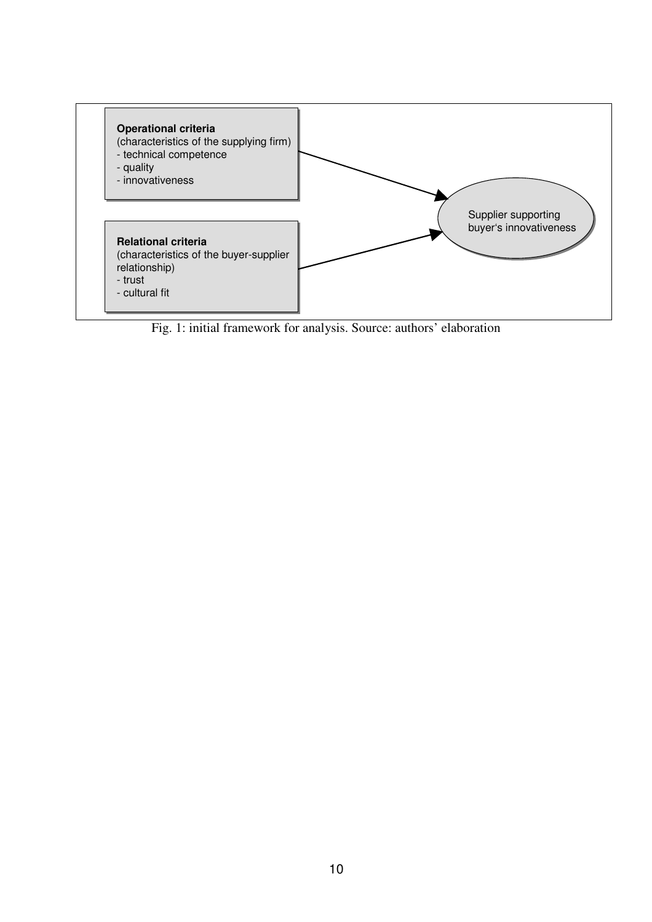

Fig. 1: initial framework for analysis. Source: authors' elaboration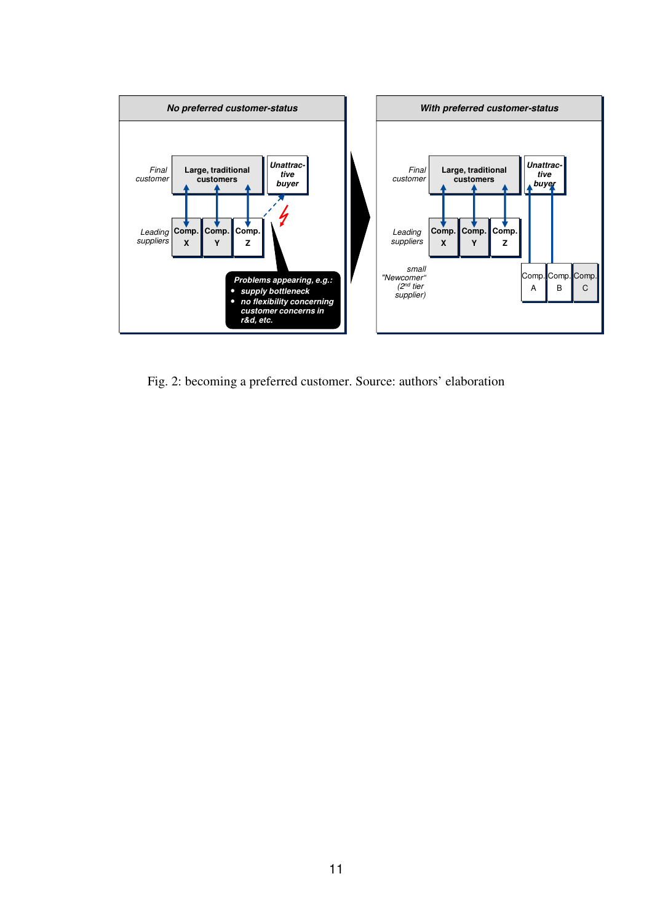

Fig. 2: becoming a preferred customer. Source: authors' elaboration